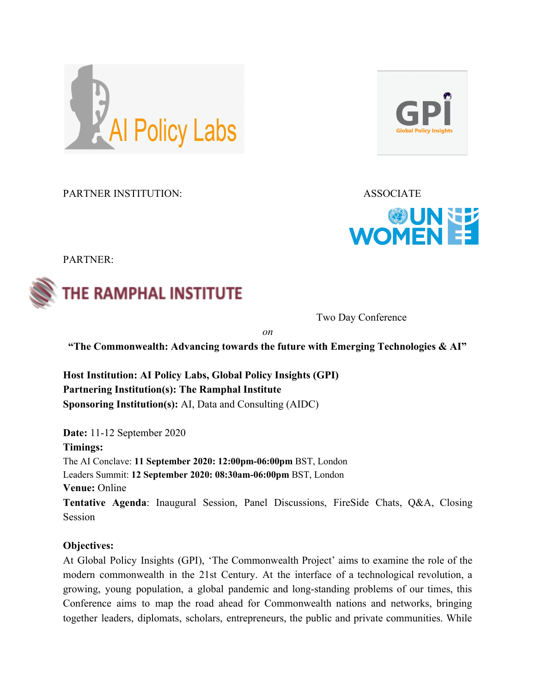

PARTNER INSTITUTION: ASSOCIATE





PARTNER:



Two Day Conference

*on*

**"The Commonwealth: Advancing towards the future with Emerging Technologies & AI"**

**Host Institution: AI Policy Labs, Global Policy Insights (GPI) Partnering Institution(s): The Ramphal Institute Sponsoring Institution(s):** AI, Data and Consulting (AIDC)

**Date:** 11-12 September 2020 **Timings:** The AI Conclave: **11 September 2020: 12:00pm-06:00pm** BST, London Leaders Summit: **12 September 2020: 08:30am-06:00pm** BST, London **Venue:** Online **Tentative Agenda**: Inaugural Session, Panel Discussions, FireSide Chats, Q&A, Closing Session

# **Objectives:**

At Global Policy Insights (GPI), 'The Commonwealth Project' aims to examine the role of the modern commonwealth in the 21st Century. At the interface of a technological revolution, a growing, young population, a global pandemic and long-standing problems of our times, this Conference aims to map the road ahead for Commonwealth nations and networks, bringing together leaders, diplomats, scholars, entrepreneurs, the public and private communities. While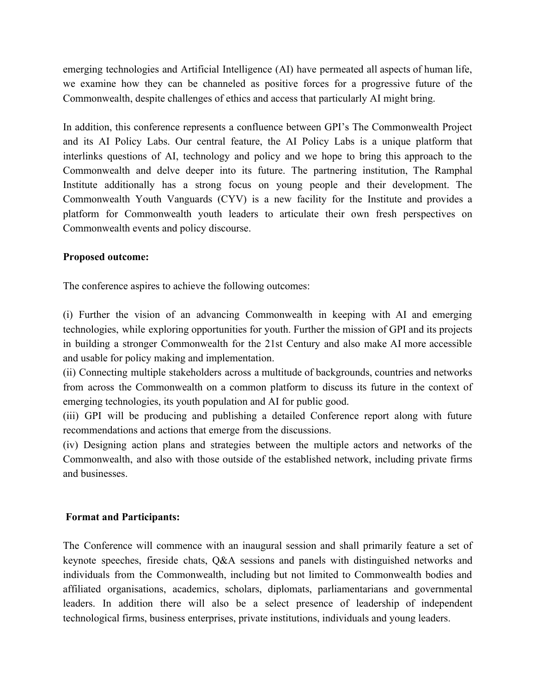emerging technologies and Artificial Intelligence (AI) have permeated all aspects of human life, we examine how they can be channeled as positive forces for a progressive future of the Commonwealth, despite challenges of ethics and access that particularly AI might bring.

In addition, this conference represents a confluence between GPI's The Commonwealth Project and its AI Policy Labs. Our central feature, the AI Policy Labs is a unique platform that interlinks questions of AI, technology and policy and we hope to bring this approach to the Commonwealth and delve deeper into its future. The partnering institution, The Ramphal Institute additionally has a strong focus on young people and their development. The Commonwealth Youth Vanguards (CYV) is a new facility for the Institute and provides a platform for Commonwealth youth leaders to articulate their own fresh perspectives on Commonwealth events and policy discourse.

# **Proposed outcome:**

The conference aspires to achieve the following outcomes:

(i) Further the vision of an advancing Commonwealth in keeping with AI and emerging technologies, while exploring opportunities for youth. Further the mission of GPI and its projects in building a stronger Commonwealth for the 21st Century and also make AI more accessible and usable for policy making and implementation.

(ii) Connecting multiple stakeholders across a multitude of backgrounds, countries and networks from across the Commonwealth on a common platform to discuss its future in the context of emerging technologies, its youth population and AI for public good.

(iii) GPI will be producing and publishing a detailed Conference report along with future recommendations and actions that emerge from the discussions.

(iv) Designing action plans and strategies between the multiple actors and networks of the Commonwealth, and also with those outside of the established network, including private firms and businesses.

# **Format and Participants:**

The Conference will commence with an inaugural session and shall primarily feature a set of keynote speeches, fireside chats, Q&A sessions and panels with distinguished networks and individuals from the Commonwealth, including but not limited to Commonwealth bodies and affiliated organisations, academics, scholars, diplomats, parliamentarians and governmental leaders. In addition there will also be a select presence of leadership of independent technological firms, business enterprises, private institutions, individuals and young leaders.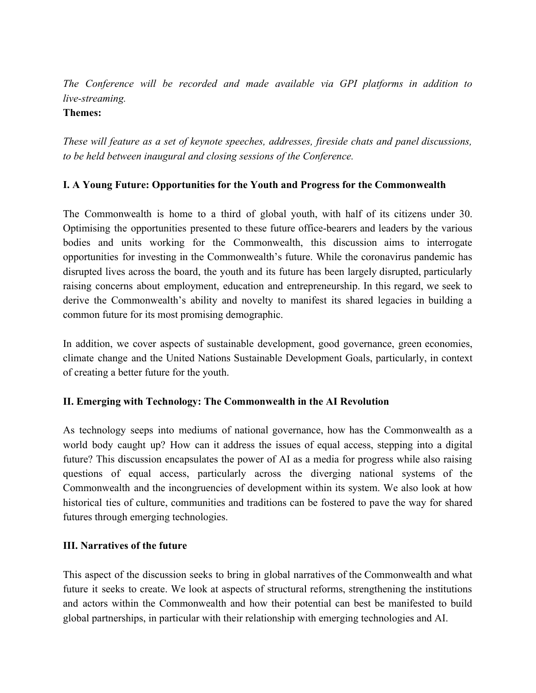# *The Conference will be recorded and made available via GPI platforms in addition to live-streaming.*

#### **Themes:**

*These will feature as a set of keynote speeches, addresses, fireside chats and panel discussions, to be held between inaugural and closing sessions of the Conference.*

# **I. A Young Future: Opportunities for the Youth and Progress for the Commonwealth**

The Commonwealth is home to a third of global youth, with half of its citizens under 30. Optimising the opportunities presented to these future office-bearers and leaders by the various bodies and units working for the Commonwealth, this discussion aims to interrogate opportunities for investing in the Commonwealth's future. While the coronavirus pandemic has disrupted lives across the board, the youth and its future has been largely disrupted, particularly raising concerns about employment, education and entrepreneurship. In this regard, we seek to derive the Commonwealth's ability and novelty to manifest its shared legacies in building a common future for its most promising demographic.

In addition, we cover aspects of sustainable development, good governance, green economies, climate change and the United Nations Sustainable Development Goals, particularly, in context of creating a better future for the youth.

# **II. Emerging with Technology: The Commonwealth in the AI Revolution**

As technology seeps into mediums of national governance, how has the Commonwealth as a world body caught up? How can it address the issues of equal access, stepping into a digital future? This discussion encapsulates the power of AI as a media for progress while also raising questions of equal access, particularly across the diverging national systems of the Commonwealth and the incongruencies of development within its system. We also look at how historical ties of culture, communities and traditions can be fostered to pave the way for shared futures through emerging technologies.

# **III. Narratives of the future**

This aspect of the discussion seeks to bring in global narratives of the Commonwealth and what future it seeks to create. We look at aspects of structural reforms, strengthening the institutions and actors within the Commonwealth and how their potential can best be manifested to build global partnerships, in particular with their relationship with emerging technologies and AI.